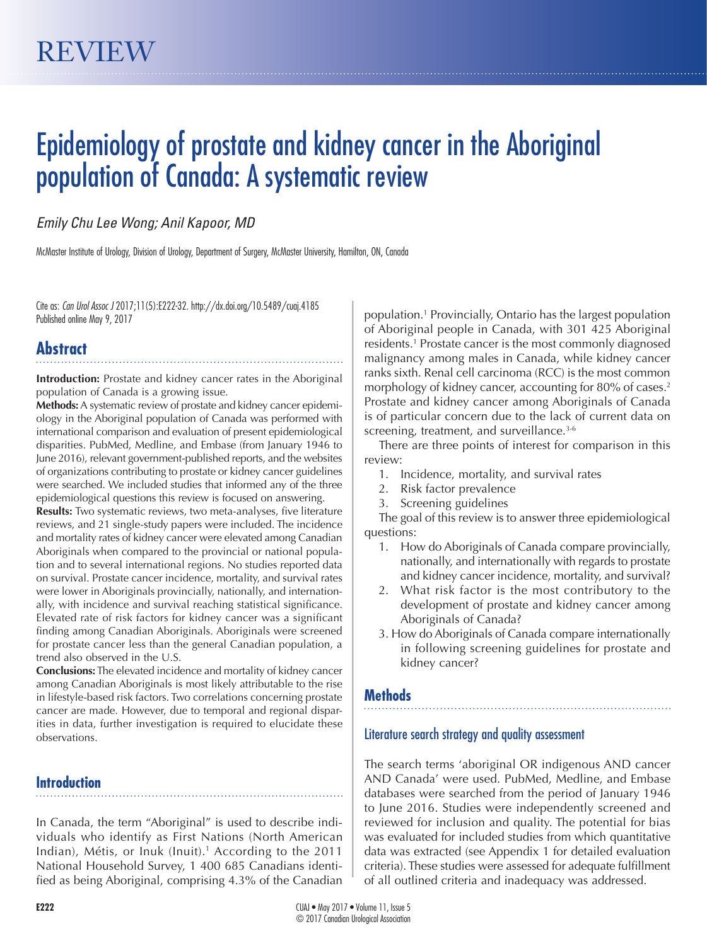# Epidemiology of prostate and kidney cancer in the Aboriginal population of Canada: A systematic review

*Emily Chu Lee Wong; Anil Kapoor, MD*

McMaster Institute of Urology, Division of Urology, Department of Surgery, McMaster University, Hamilton, ON, Canada

Cite as: *Can Urol Assoc J* 2017;11(5):E222-32. http://dx.doi.org/10.5489/cuaj.4185 Published online May 9, 2017

# **Abstract**

**Introduction:** Prostate and kidney cancer rates in the Aboriginal population of Canada is a growing issue.

**Methods:** A systematic review of prostate and kidney cancer epidemiology in the Aboriginal population of Canada was performed with international comparison and evaluation of present epidemiological disparities. PubMed, Medline, and Embase (from January 1946 to June 2016), relevant government-published reports, and the websites of organizations contributing to prostate or kidney cancer guidelines were searched. We included studies that informed any of the three epidemiological questions this review is focused on answering.

**Results:** Two systematic reviews, two meta-analyses, five literature reviews, and 21 single-study papers were included. The incidence and mortality rates of kidney cancer were elevated among Canadian Aboriginals when compared to the provincial or national population and to several international regions. No studies reported data on survival. Prostate cancer incidence, mortality, and survival rates were lower in Aboriginals provincially, nationally, and internationally, with incidence and survival reaching statistical significance. Elevated rate of risk factors for kidney cancer was a significant finding among Canadian Aboriginals. Aboriginals were screened for prostate cancer less than the general Canadian population, a trend also observed in the U.S.

**Conclusions:** The elevated incidence and mortality of kidney cancer among Canadian Aboriginals is most likely attributable to the rise in lifestyle-based risk factors. Two correlations concerning prostate cancer are made. However, due to temporal and regional disparities in data, further investigation is required to elucidate these observations.

## **Introduction**

In Canada, the term "Aboriginal" is used to describe individuals who identify as First Nations (North American Indian), Métis, or Inuk (Inuit).<sup>1</sup> According to the 2011 National Household Survey, 1 400 685 Canadians identified as being Aboriginal, comprising 4.3% of the Canadian

population.1 Provincially, Ontario has the largest population of Aboriginal people in Canada, with 301 425 Aboriginal residents.1 Prostate cancer is the most commonly diagnosed malignancy among males in Canada, while kidney cancer ranks sixth. Renal cell carcinoma (RCC) is the most common morphology of kidney cancer, accounting for 80% of cases.<sup>2</sup> Prostate and kidney cancer among Aboriginals of Canada is of particular concern due to the lack of current data on screening, treatment, and surveillance.<sup>3-6</sup>

There are three points of interest for comparison in this review:

- 1. Incidence, mortality, and survival rates
- 2. Risk factor prevalence
- 3. Screening guidelines

The goal of this review is to answer three epidemiological questions:

- 1. How do Aboriginals of Canada compare provincially, nationally, and internationally with regards to prostate and kidney cancer incidence, mortality, and survival?
- 2. What risk factor is the most contributory to the development of prostate and kidney cancer among Aboriginals of Canada?
- 3. How do Aboriginals of Canada compare internationally in following screening guidelines for prostate and kidney cancer?

## **Methods**

## Literature search strategy and quality assessment

The search terms 'aboriginal OR indigenous AND cancer AND Canada' were used. PubMed, Medline, and Embase databases were searched from the period of January 1946 to June 2016. Studies were independently screened and reviewed for inclusion and quality. The potential for bias was evaluated for included studies from which quantitative data was extracted (see Appendix 1 for detailed evaluation criteria). These studies were assessed for adequate fulfillment of all outlined criteria and inadequacy was addressed.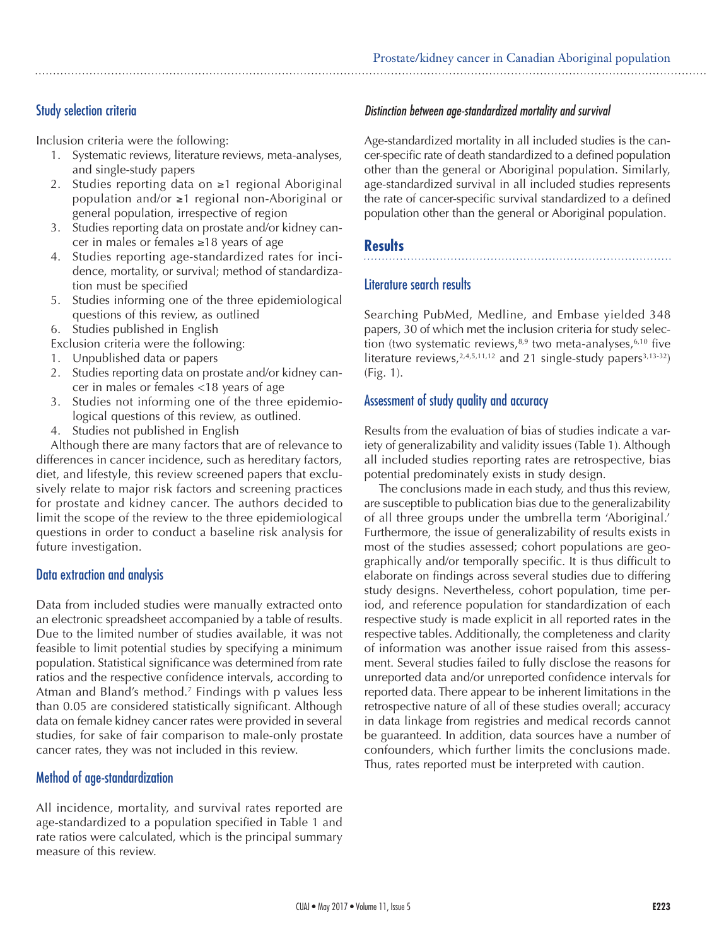## Study selection criteria

Inclusion criteria were the following:

- 1. Systematic reviews, literature reviews, meta-analyses, and single-study papers
- 2. Studies reporting data on ≥1 regional Aboriginal population and/or ≥1 regional non-Aboriginal or general population, irrespective of region
- 3. Studies reporting data on prostate and/or kidney cancer in males or females ≥18 years of age
- 4. Studies reporting age-standardized rates for incidence, mortality, or survival; method of standardization must be specified
- 5. Studies informing one of the three epidemiological questions of this review, as outlined
- 6. Studies published in English

Exclusion criteria were the following:

- 1. Unpublished data or papers
- 2. Studies reporting data on prostate and/or kidney cancer in males or females <18 years of age
- 3. Studies not informing one of the three epidemiological questions of this review, as outlined.
- 4. Studies not published in English

Although there are many factors that are of relevance to differences in cancer incidence, such as hereditary factors, diet, and lifestyle, this review screened papers that exclusively relate to major risk factors and screening practices for prostate and kidney cancer. The authors decided to limit the scope of the review to the three epidemiological questions in order to conduct a baseline risk analysis for future investigation.

## Data extraction and analysis

Data from included studies were manually extracted onto an electronic spreadsheet accompanied by a table of results. Due to the limited number of studies available, it was not feasible to limit potential studies by specifying a minimum population. Statistical significance was determined from rate ratios and the respective confidence intervals, according to Atman and Bland's method.<sup>7</sup> Findings with p values less than 0.05 are considered statistically significant. Although data on female kidney cancer rates were provided in several studies, for sake of fair comparison to male-only prostate cancer rates, they was not included in this review.

## Method of age-standardization

All incidence, mortality, and survival rates reported are age-standardized to a population specified in Table 1 and rate ratios were calculated, which is the principal summary measure of this review.

#### *Distinction between age-standardized mortality and survival*

Age-standardized mortality in all included studies is the cancer-specific rate of death standardized to a defined population other than the general or Aboriginal population. Similarly, age-standardized survival in all included studies represents the rate of cancer-specific survival standardized to a defined population other than the general or Aboriginal population.

# **Results**

## Literature search results

Searching PubMed, Medline, and Embase yielded 348 papers, 30 of which met the inclusion criteria for study selection (two systematic reviews, $8,9$  two meta-analyses,  $6,10$  five literature reviews,  $2,4,5,11,12$  and 21 single-study papers<sup>3,13-32</sup>) (Fig. 1).

## Assessment of study quality and accuracy

Results from the evaluation of bias of studies indicate a variety of generalizability and validity issues (Table 1). Although all included studies reporting rates are retrospective, bias potential predominately exists in study design.

The conclusions made in each study, and thus this review, are susceptible to publication bias due to the generalizability of all three groups under the umbrella term 'Aboriginal.' Furthermore, the issue of generalizability of results exists in most of the studies assessed; cohort populations are geographically and/or temporally specific. It is thus difficult to elaborate on findings across several studies due to differing study designs. Nevertheless, cohort population, time period, and reference population for standardization of each respective study is made explicit in all reported rates in the respective tables. Additionally, the completeness and clarity of information was another issue raised from this assessment. Several studies failed to fully disclose the reasons for unreported data and/or unreported confidence intervals for reported data. There appear to be inherent limitations in the retrospective nature of all of these studies overall; accuracy in data linkage from registries and medical records cannot be guaranteed. In addition, data sources have a number of confounders, which further limits the conclusions made. Thus, rates reported must be interpreted with caution.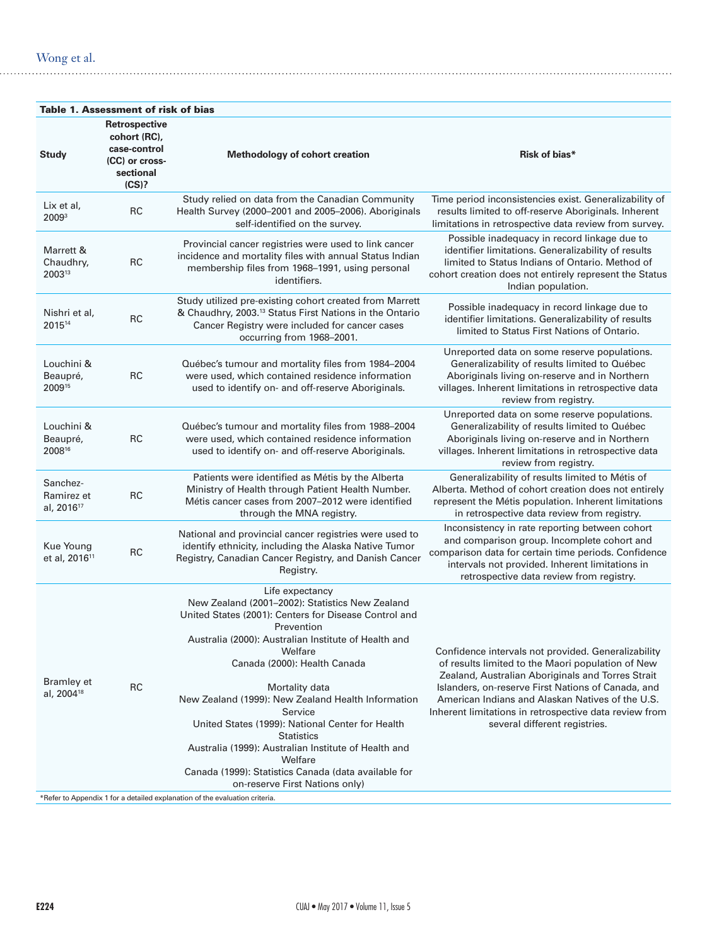| Table 1. Assessment of risk of bias              |                                                                                          |                                                                                                                                                                                                                                                                                                                                                                                                                                                                                                                                                                       |                                                                                                                                                                                                                                                                                                                                                                    |  |  |  |  |  |
|--------------------------------------------------|------------------------------------------------------------------------------------------|-----------------------------------------------------------------------------------------------------------------------------------------------------------------------------------------------------------------------------------------------------------------------------------------------------------------------------------------------------------------------------------------------------------------------------------------------------------------------------------------------------------------------------------------------------------------------|--------------------------------------------------------------------------------------------------------------------------------------------------------------------------------------------------------------------------------------------------------------------------------------------------------------------------------------------------------------------|--|--|--|--|--|
| <b>Study</b>                                     | Retrospective<br>cohort (RC),<br>case-control<br>(CC) or cross-<br>sectional<br>$(CS)$ ? | <b>Methodology of cohort creation</b>                                                                                                                                                                                                                                                                                                                                                                                                                                                                                                                                 | Risk of bias*                                                                                                                                                                                                                                                                                                                                                      |  |  |  |  |  |
| Lix et al,<br>20093                              | <b>RC</b>                                                                                | Study relied on data from the Canadian Community<br>Health Survey (2000-2001 and 2005-2006). Aboriginals<br>self-identified on the survey.                                                                                                                                                                                                                                                                                                                                                                                                                            | Time period inconsistencies exist. Generalizability of<br>results limited to off-reserve Aboriginals. Inherent<br>limitations in retrospective data review from survey.                                                                                                                                                                                            |  |  |  |  |  |
| Marrett &<br>Chaudhry,<br>200313                 | <b>RC</b>                                                                                | Provincial cancer registries were used to link cancer<br>incidence and mortality files with annual Status Indian<br>membership files from 1968-1991, using personal<br>identifiers.                                                                                                                                                                                                                                                                                                                                                                                   | Possible inadequacy in record linkage due to<br>identifier limitations. Generalizability of results<br>limited to Status Indians of Ontario. Method of<br>cohort creation does not entirely represent the Status<br>Indian population.                                                                                                                             |  |  |  |  |  |
| Nishri et al,<br>201514                          | RC                                                                                       | Study utilized pre-existing cohort created from Marrett<br>& Chaudhry, 2003. <sup>13</sup> Status First Nations in the Ontario<br>Cancer Registry were included for cancer cases<br>occurring from 1968-2001.                                                                                                                                                                                                                                                                                                                                                         | Possible inadequacy in record linkage due to<br>identifier limitations. Generalizability of results<br>limited to Status First Nations of Ontario.                                                                                                                                                                                                                 |  |  |  |  |  |
| Louchini &<br>Beaupré,<br>200915                 | <b>RC</b>                                                                                | Québec's tumour and mortality files from 1984-2004<br>were used, which contained residence information<br>used to identify on- and off-reserve Aboriginals.                                                                                                                                                                                                                                                                                                                                                                                                           | Unreported data on some reserve populations.<br>Generalizability of results limited to Québec<br>Aboriginals living on-reserve and in Northern<br>villages. Inherent limitations in retrospective data<br>review from registry.                                                                                                                                    |  |  |  |  |  |
| Louchini &<br>Beaupré,<br>200816                 | RC                                                                                       | Québec's tumour and mortality files from 1988–2004<br>were used, which contained residence information<br>used to identify on- and off-reserve Aboriginals.                                                                                                                                                                                                                                                                                                                                                                                                           | Unreported data on some reserve populations.<br>Generalizability of results limited to Québec<br>Aboriginals living on-reserve and in Northern<br>villages. Inherent limitations in retrospective data<br>review from registry.                                                                                                                                    |  |  |  |  |  |
| Sanchez-<br>Ramirez et<br>al, 2016 <sup>17</sup> | <b>RC</b>                                                                                | Patients were identified as Métis by the Alberta<br>Ministry of Health through Patient Health Number.<br>Métis cancer cases from 2007-2012 were identified<br>through the MNA registry.                                                                                                                                                                                                                                                                                                                                                                               | Generalizability of results limited to Métis of<br>Alberta. Method of cohort creation does not entirely<br>represent the Métis population. Inherent limitations<br>in retrospective data review from registry.                                                                                                                                                     |  |  |  |  |  |
| Kue Young<br>et al, 2016 <sup>11</sup>           | <b>RC</b>                                                                                | National and provincial cancer registries were used to<br>identify ethnicity, including the Alaska Native Tumor<br>Registry, Canadian Cancer Registry, and Danish Cancer<br>Registry.                                                                                                                                                                                                                                                                                                                                                                                 | Inconsistency in rate reporting between cohort<br>and comparison group. Incomplete cohort and<br>comparison data for certain time periods. Confidence<br>intervals not provided. Inherent limitations in<br>retrospective data review from registry.                                                                                                               |  |  |  |  |  |
| <b>Bramley et</b><br>al, 2004 <sup>18</sup>      | <b>RC</b>                                                                                | Life expectancy<br>New Zealand (2001–2002): Statistics New Zealand<br>United States (2001): Centers for Disease Control and<br>Prevention<br>Australia (2000): Australian Institute of Health and<br>Welfare<br>Canada (2000): Health Canada<br>Mortality data<br>New Zealand (1999): New Zealand Health Information<br>Service<br>United States (1999): National Center for Health<br><b>Statistics</b><br>Australia (1999): Australian Institute of Health and<br>Welfare<br>Canada (1999): Statistics Canada (data available for<br>on-reserve First Nations only) | Confidence intervals not provided. Generalizability<br>of results limited to the Maori population of New<br>Zealand, Australian Aboriginals and Torres Strait<br>Islanders, on-reserve First Nations of Canada, and<br>American Indians and Alaskan Natives of the U.S.<br>Inherent limitations in retrospective data review from<br>several different registries. |  |  |  |  |  |

\*Refer to Appendix 1 for a detailed explanation of the evaluation criteria.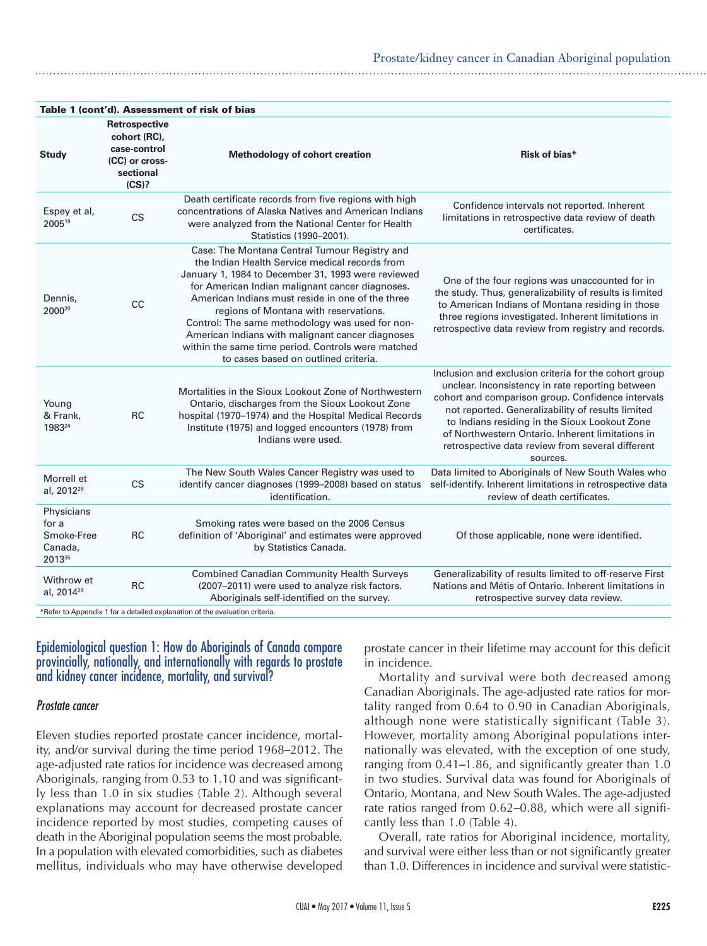| Retrospective<br>cohort (RC),<br>case-control<br><b>Study</b><br>Methodology of cohort creation<br>Risk of bias*<br>(CC) or cross-<br>sectional<br>(CS)?                                                                                                                                                                                                                                                                                                                                                                                                                                                                                                                                                                                                                                                                                 |  |
|------------------------------------------------------------------------------------------------------------------------------------------------------------------------------------------------------------------------------------------------------------------------------------------------------------------------------------------------------------------------------------------------------------------------------------------------------------------------------------------------------------------------------------------------------------------------------------------------------------------------------------------------------------------------------------------------------------------------------------------------------------------------------------------------------------------------------------------|--|
| Death certificate records from five regions with high<br>Confidence intervals not reported. Inherent<br>concentrations of Alaska Natives and American Indians<br>Espey et al,<br><b>CS</b><br>limitations in retrospective data review of death<br>200519<br>were analyzed from the National Center for Health<br>certificates.<br>Statistics (1990-2001).                                                                                                                                                                                                                                                                                                                                                                                                                                                                               |  |
| Case: The Montana Central Tumour Registry and<br>the Indian Health Service medical records from<br>January 1, 1984 to December 31, 1993 were reviewed<br>One of the four regions was unaccounted for in<br>for American Indian malignant cancer diagnoses.<br>the study. Thus, generalizability of results is limited<br>American Indians must reside in one of the three<br>Dennis,<br><b>CC</b><br>to American Indians of Montana residing in those<br>2000 <sup>20</sup><br>regions of Montana with reservations.<br>three regions investigated. Inherent limitations in<br>Control: The same methodology was used for non-<br>retrospective data review from registry and records.<br>American Indians with malignant cancer diagnoses<br>within the same time period. Controls were matched<br>to cases based on outlined criteria. |  |
| Inclusion and exclusion criteria for the cohort group<br>unclear. Inconsistency in rate reporting between<br>Mortalities in the Sioux Lookout Zone of Northwestern<br>cohort and comparison group. Confidence intervals<br>Ontario, discharges from the Sioux Lookout Zone<br>Young<br>not reported. Generalizability of results limited<br><b>RC</b><br>& Frank,<br>hospital (1970-1974) and the Hospital Medical Records<br>to Indians residing in the Sioux Lookout Zone<br>198324<br>Institute (1975) and logged encounters (1978) from<br>of Northwestern Ontario, Inherent limitations in<br>Indians were used.<br>retrospective data review from several different<br>sources.                                                                                                                                                    |  |
| The New South Wales Cancer Registry was used to<br>Data limited to Aboriginals of New South Wales who<br>Morrell et<br><b>CS</b><br>identify cancer diagnoses (1999-2008) based on status<br>self-identify. Inherent limitations in retrospective data<br>al, 2012 <sup>28</sup><br>identification.<br>review of death certificates.                                                                                                                                                                                                                                                                                                                                                                                                                                                                                                     |  |
| Physicians<br>for a<br>Smoking rates were based on the 2006 Census<br>Smoke-Free<br><b>RC</b><br>definition of 'Aboriginal' and estimates were approved<br>Of those applicable, none were identified.<br>Canada,<br>by Statistics Canada.<br>201335                                                                                                                                                                                                                                                                                                                                                                                                                                                                                                                                                                                      |  |
| <b>Combined Canadian Community Health Surveys</b><br>Generalizability of results limited to off-reserve First<br>Withrow et<br>(2007-2011) were used to analyze risk factors.<br>Nations and Métis of Ontario. Inherent limitations in<br><b>RC</b><br>al, 2014 <sup>29</sup><br>Aboriginals self-identified on the survey.<br>retrospective survey data review.<br>*Refer to Appendix 1 for a detailed explanation of the evaluation criteria.                                                                                                                                                                                                                                                                                                                                                                                          |  |

#### Epidemiological question 1: How do Aboriginals of Canada compare provincially, nationally, and internationally with regards to prostate and kidney cancer incidence, mortality, and survival?

## *Prostate cancer*

Eleven studies reported prostate cancer incidence, mortality, and/or survival during the time period 1968*‒*2012. The age-adjusted rate ratios for incidence was decreased among Aboriginals, ranging from 0.53 to 1.10 and was significantly less than 1.0 in six studies (Table 2). Although several explanations may account for decreased prostate cancer incidence reported by most studies, competing causes of death in the Aboriginal population seems the most probable. In a population with elevated comorbidities, such as diabetes mellitus, individuals who may have otherwise developed prostate cancer in their lifetime may account for this deficit in incidence.

Mortality and survival were both decreased among Canadian Aboriginals. The age-adjusted rate ratios for mortality ranged from 0.64 to 0.90 in Canadian Aboriginals, although none were statistically significant (Table 3). However, mortality among Aboriginal populations internationally was elevated, with the exception of one study, ranging from 0.41*‒*1.86, and significantly greater than 1.0 in two studies. Survival data was found for Aboriginals of Ontario, Montana, and New South Wales. The age-adjusted rate ratios ranged from 0.62-0.88, which were all significantly less than 1.0 (Table 4).

Overall, rate ratios for Aboriginal incidence, mortality, and survival were either less than or not significantly greater than 1.0. Differences in incidence and survival were statistic-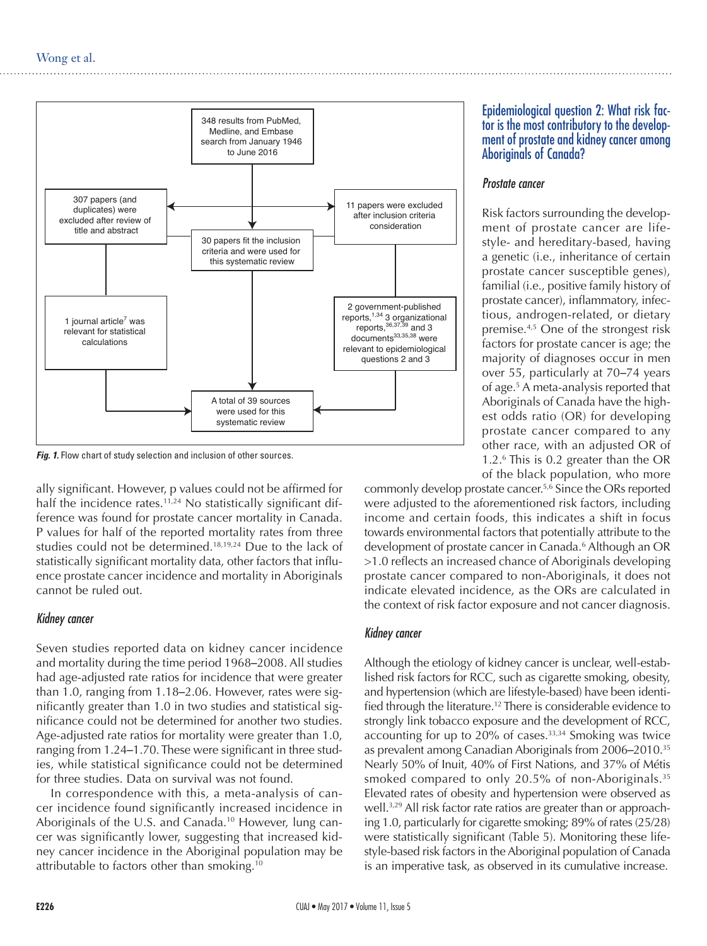

*Fig. 1.* Flow chart of study selection and inclusion of other sources.

ally significant. However, p values could not be affirmed for half the incidence rates. $11,24}$  No statistically significant difference was found for prostate cancer mortality in Canada. P values for half of the reported mortality rates from three studies could not be determined.18,19,24 Due to the lack of statistically significant mortality data, other factors that influence prostate cancer incidence and mortality in Aboriginals cannot be ruled out.

#### *Kidney cancer*

Seven studies reported data on kidney cancer incidence and mortality during the time period 1968*‒*2008. All studies had age-adjusted rate ratios for incidence that were greater than 1.0, ranging from 1.18*‒*2.06. However, rates were significantly greater than 1.0 in two studies and statistical significance could not be determined for another two studies. Age-adjusted rate ratios for mortality were greater than 1.0, ranging from 1.24*‒*1.70. These were significant in three studies, while statistical significance could not be determined for three studies. Data on survival was not found.

In correspondence with this, a meta-analysis of cancer incidence found significantly increased incidence in Aboriginals of the U.S. and Canada.<sup>10</sup> However, lung cancer was significantly lower, suggesting that increased kidney cancer incidence in the Aboriginal population may be attributable to factors other than smoking.10

#### Epidemiological question 2: What risk factor is the most contributory to the development of prostate and kidney cancer among Aboriginals of Canada?

## *Prostate cancer*

Risk factors surrounding the development of prostate cancer are lifestyle- and hereditary-based, having a genetic (i.e., inheritance of certain prostate cancer susceptible genes), familial (i.e., positive family history of prostate cancer), inflammatory, infectious, androgen-related, or dietary premise.4,5 One of the strongest risk factors for prostate cancer is age; the majority of diagnoses occur in men over 55, particularly at 70*‒*74 years of age.5 A meta-analysis reported that Aboriginals of Canada have the highest odds ratio (OR) for developing prostate cancer compared to any other race, with an adjusted OR of 1.2.6 This is 0.2 greater than the OR of the black population, who more

commonly develop prostate cancer.5,6 Since the ORs reported were adjusted to the aforementioned risk factors, including income and certain foods, this indicates a shift in focus towards environmental factors that potentially attribute to the development of prostate cancer in Canada.6 Although an OR >1.0 reflects an increased chance of Aboriginals developing prostate cancer compared to non-Aboriginals, it does not indicate elevated incidence, as the ORs are calculated in the context of risk factor exposure and not cancer diagnosis.

#### *Kidney cancer*

Although the etiology of kidney cancer is unclear, well-established risk factors for RCC, such as cigarette smoking, obesity, and hypertension (which are lifestyle-based) have been identified through the literature.<sup>12</sup> There is considerable evidence to strongly link tobacco exposure and the development of RCC, accounting for up to 20% of cases.<sup>33,34</sup> Smoking was twice as prevalent among Canadian Aboriginals from 2006*‒*2010.35 Nearly 50% of Inuit, 40% of First Nations, and 37% of Métis smoked compared to only 20.5% of non-Aboriginals.<sup>35</sup> Elevated rates of obesity and hypertension were observed as well.<sup>3,29</sup> All risk factor rate ratios are greater than or approaching 1.0, particularly for cigarette smoking; 89% of rates (25/28) were statistically significant (Table 5). Monitoring these lifestyle-based risk factors in the Aboriginal population of Canada is an imperative task, as observed in its cumulative increase.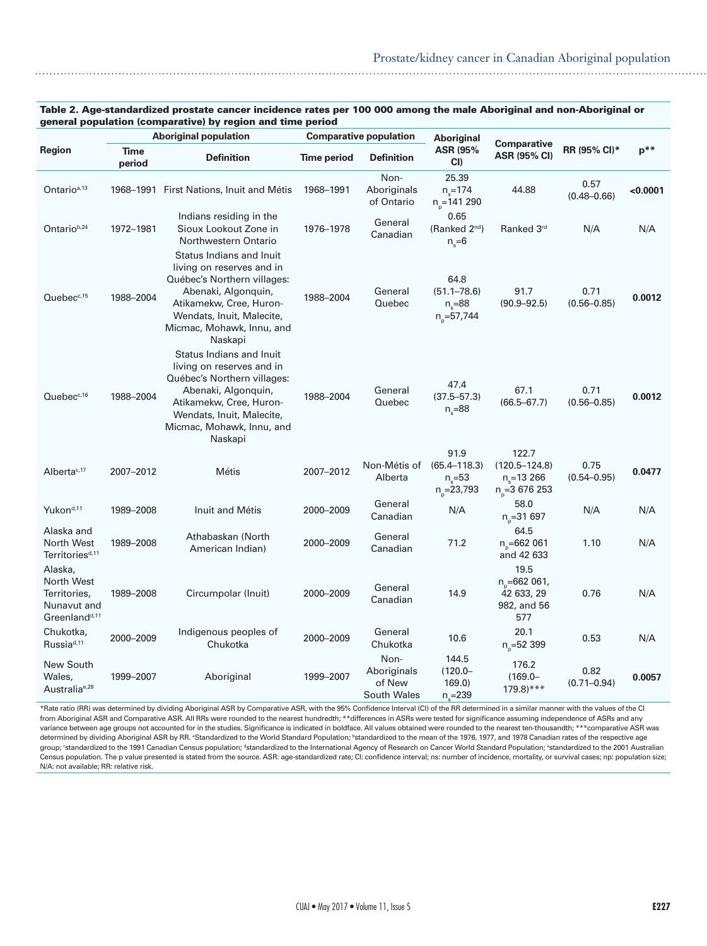| general population (comparative) by region and time period                        |                              |                                                                                                                                                                                                                    |                               |                                                     |                                                              |                                                                       |                         |          |  |
|-----------------------------------------------------------------------------------|------------------------------|--------------------------------------------------------------------------------------------------------------------------------------------------------------------------------------------------------------------|-------------------------------|-----------------------------------------------------|--------------------------------------------------------------|-----------------------------------------------------------------------|-------------------------|----------|--|
| Region                                                                            | <b>Aboriginal population</b> |                                                                                                                                                                                                                    | <b>Comparative population</b> |                                                     | <b>Aboriginal</b>                                            | <b>Comparative</b>                                                    |                         |          |  |
|                                                                                   | <b>Time</b><br>period        | <b>Definition</b>                                                                                                                                                                                                  | <b>Time period</b>            | <b>Definition</b>                                   | ASR (95%<br>CI)                                              | <b>ASR (95% CI)</b>                                                   | RR (95% CI)*            | $p***$   |  |
| Ontario <sup>a,13</sup>                                                           |                              | 1968–1991 First Nations, Inuit and Métis                                                                                                                                                                           | 1968-1991                     | Non-<br>Aboriginals<br>of Ontario                   | 25.39<br>$n_{\rm s} = 174$<br>$n_{\rm p}$ =141 290           | 44.88                                                                 | 0.57<br>$(0.48 - 0.66)$ | < 0.0001 |  |
| Ontariob,24                                                                       | 1972-1981                    | Indians residing in the<br>Sioux Lookout Zone in<br>Northwestern Ontario                                                                                                                                           | 1976-1978                     | General<br>Canadian                                 | 0.65<br>(Ranked 2nd)<br>$n_e = 6$                            | Ranked 3rd                                                            | N/A                     | N/A      |  |
| Quebec <sup>c, 15</sup>                                                           | 1988-2004                    | <b>Status Indians and Inuit</b><br>living on reserves and in<br>Québec's Northern villages:<br>Abenaki, Algonquin,<br>Atikamekw, Cree, Huron-<br>Wendats, Inuit, Malecite,<br>Micmac, Mohawk, Innu, and<br>Naskapi | 1988-2004                     | General<br>Quebec                                   | 64.8<br>$(51.1 - 78.6)$<br>$n_{s} = 88$<br>$n_{p} = 57,744$  | 91.7<br>$(90.9 - 92.5)$                                               | 0.71<br>$(0.56 - 0.85)$ | 0.0012   |  |
| Quebec <sup>c, 16</sup>                                                           | 1988-2004                    | Status Indians and Inuit<br>living on reserves and in<br>Québec's Northern villages:<br>Abenaki, Algonquin,<br>Atikamekw, Cree, Huron-<br>Wendats, Inuit, Malecite,<br>Micmac, Mohawk, Innu, and<br>Naskapi        | 1988-2004                     | General<br>Quebec                                   | 47.4<br>$(37.5 - 57.3)$<br>$n_{\rm s} = 88$                  | 67.1<br>$(66.5 - 67.7)$                                               | 0.71<br>$(0.56 - 0.85)$ | 0.0012   |  |
| Alberta <sup>c,17</sup>                                                           | 2007-2012                    | Métis                                                                                                                                                                                                              | 2007-2012                     | Non-Métis of<br>Alberta                             | 91.9<br>$(65.4 - 118.3)$<br>$n_{s} = 53$<br>$n_{p} = 23,793$ | 122.7<br>$(120.5 - 124.8)$<br>$n = 13266$<br>$n_{\text{s}} = 3676253$ | 0.75<br>$(0.54 - 0.95)$ | 0.0477   |  |
| Yukon <sup>d,11</sup>                                                             | 1989-2008                    | Inuit and Métis                                                                                                                                                                                                    | 2000-2009                     | General<br>Canadian                                 | N/A                                                          | 58.0<br>$n_{\text{e}} = 31697$                                        | N/A                     | N/A      |  |
| Alaska and<br>North West<br>Territories <sup>d,11</sup>                           | 1989-2008                    | Athabaskan (North<br>American Indian)                                                                                                                                                                              | 2000-2009                     | General<br>Canadian                                 | 71.2                                                         | 64.5<br>$n_{\text{e}} = 662061$<br>and 42 633                         | 1.10                    | N/A      |  |
| Alaska,<br>North West<br>Territories,<br>Nunavut and<br>Greenland <sup>d,11</sup> | 1989-2008                    | Circumpolar (Inuit)                                                                                                                                                                                                | 2000-2009                     | General<br>Canadian                                 | 14.9                                                         | 19.5<br>$n_{\rm p}$ =662 061,<br>42 633, 29<br>982, and 56<br>577     | 0.76                    | N/A      |  |
| Chukotka,<br>Russia <sup>d,11</sup>                                               | 2000-2009                    | Indigenous peoples of<br>Chukotka                                                                                                                                                                                  | 2000-2009                     | General<br>Chukotka                                 | 10.6                                                         | 20.1<br>$n_{p} = 52399$                                               | 0.53                    | N/A      |  |
| New South<br>Wales,<br>Australia <sup>e,28</sup>                                  | 1999-2007                    | Aboriginal                                                                                                                                                                                                         | 1999-2007                     | Non-<br>Aboriginals<br>of New<br><b>South Wales</b> | 144.5<br>$(120.0 -$<br>169.0<br>$n_e = 239$                  | 176.2<br>$(169.0 -$<br>$179.8$ <sup>***</sup>                         | 0.82<br>$(0.71 - 0.94)$ | 0.0057   |  |

Table 2. Age-standardized prostate cancer incidence rates per 100 000 among the male Aboriginal and non-Aboriginal or general population (comparative) by region and time period

\*Rate ratio (RR) was determined by dividing Aboriginal ASR by Comparative ASR, with the 95% Confidence Interval (CI) of the RR determined in a similar manner with the values of the CI from Aboriginal ASR and Comparative ASR. All RRs were rounded to the nearest hundredth; \*\*differences in ASRs were tested for significance assuming independence of ASRs and any variance between age groups not accounted for in the studies. Significance is indicated in boldface. All values obtained were rounded to the nearest ten-thousandth; \*\*\*comparative ASR was determined by dividing Aboriginal ASR by RR. ®Standardized to the World Standard Population; ®standardized to the mean of the 1976, 1977, and 1978 Canadian rates of the respective age group; <sup>c</sup>standardized to the 1991 Canadian Census population; dstandardized to the International Agency of Research on Cancer World Standard Population; <sup>e</sup>standardized to the 2001 Australian Census population. The p value presented is stated from the source. ASR: age-standardized rate; CI: confidence interval; ns: number of incidence, mortality, or survival cases; np: population size; N/A: not available; RR: relative risk.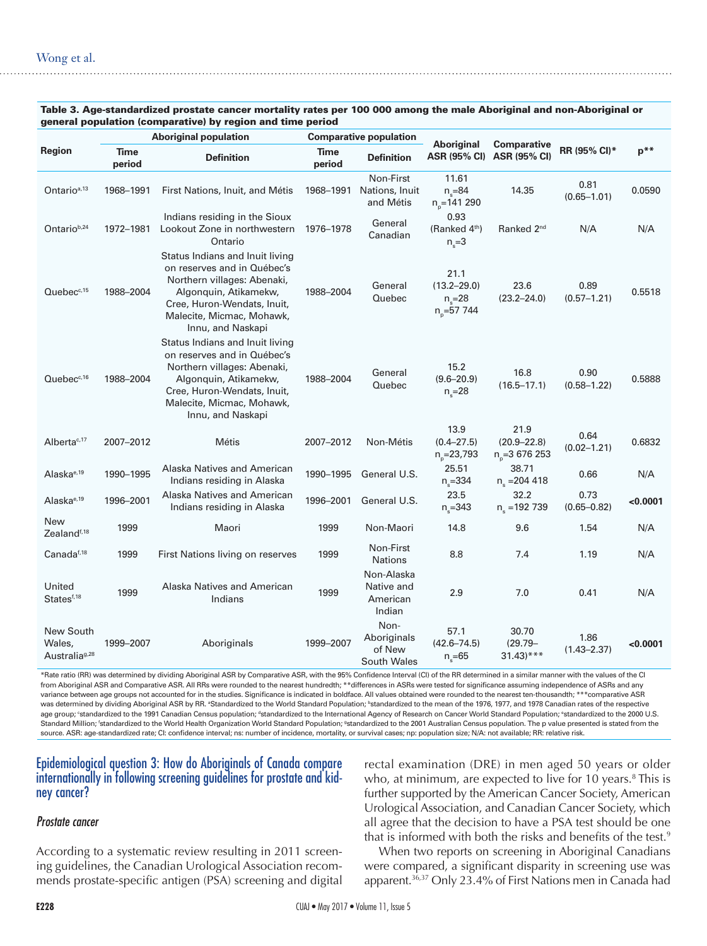| general population (comparative) by region and time period |                              |                                                                                                                                                                                                         |                                            |                                                     |                                                        |                                                   |                         |          |  |  |
|------------------------------------------------------------|------------------------------|---------------------------------------------------------------------------------------------------------------------------------------------------------------------------------------------------------|--------------------------------------------|-----------------------------------------------------|--------------------------------------------------------|---------------------------------------------------|-------------------------|----------|--|--|
|                                                            | <b>Aboriginal population</b> |                                                                                                                                                                                                         | <b>Comparative population</b>              |                                                     | <b>Aboriginal</b>                                      |                                                   |                         |          |  |  |
| <b>Region</b>                                              | <b>Time</b><br>period        | <b>Definition</b>                                                                                                                                                                                       | <b>Time</b><br><b>Definition</b><br>period |                                                     | <b>ASR (95% CI)</b>                                    | <b>Comparative</b><br>ASR (95% CI)                | RR (95% CI)*            | $p**$    |  |  |
| Ontario <sup>a,13</sup>                                    | 1968-1991                    | First Nations, Inuit, and Métis                                                                                                                                                                         | 1968-1991                                  | Non-First<br>Nations, Inuit<br>and Métis            | 11.61<br>$n_e = 84$<br>$n_{\rm p}$ =141 290            | 14.35                                             | 0.81<br>$(0.65 - 1.01)$ | 0.0590   |  |  |
| Ontariob,24                                                | 1972-1981                    | Indians residing in the Sioux<br>Lookout Zone in northwestern<br>Ontario                                                                                                                                | 1976-1978                                  | General<br>Canadian                                 | 0.93<br>(Ranked 4th)<br>$n_e = 3$                      | Ranked 2 <sup>nd</sup>                            | N/A                     | N/A      |  |  |
| Quebecc,15                                                 | 1988-2004                    | Status Indians and Inuit living<br>on reserves and in Québec's<br>Northern villages: Abenaki,<br>Algonquin, Atikamekw,<br>Cree, Huron-Wendats, Inuit,<br>Malecite, Micmac, Mohawk,<br>Innu, and Naskapi | 1988-2004                                  | General<br>Quebec                                   | 21.1<br>$(13.2 - 29.0)$<br>$n = 28$<br>$n_{p} = 57744$ | 23.6<br>$(23.2 - 24.0)$                           | 0.89<br>$(0.57 - 1.21)$ | 0.5518   |  |  |
| Quebec <sub>c,16</sub>                                     | 1988-2004                    | Status Indians and Inuit living<br>on reserves and in Québec's<br>Northern villages: Abenaki,<br>Algonquin, Atikamekw,<br>Cree, Huron-Wendats, Inuit,<br>Malecite, Micmac, Mohawk,<br>Innu, and Naskapi | 1988-2004                                  | General<br>Quebec                                   | 15.2<br>$(9.6 - 20.9)$<br>$n_{\rm s} = 28$             | 16.8<br>$(16.5 - 17.1)$                           | 0.90<br>$(0.58 - 1.22)$ | 0.5888   |  |  |
| Alberta <sup>c,17</sup>                                    | 2007-2012                    | Métis                                                                                                                                                                                                   | 2007-2012                                  | Non-Métis                                           | 13.9<br>$(0.4 - 27.5)$<br>$n_{\rm p} = 23,793$         | 21.9<br>$(20.9 - 22.8)$<br>$n_{\rm p}$ =3 676 253 | 0.64<br>$(0.02 - 1.21)$ | 0.6832   |  |  |
| Alaska <sup>e,19</sup>                                     | 1990-1995                    | Alaska Natives and American<br>Indians residing in Alaska                                                                                                                                               | 1990-1995                                  | General U.S.                                        | 25.51<br>$n_s = 334$                                   | 38.71<br>$n_e = 204418$                           | 0.66                    | N/A      |  |  |
| Alaska <sup>e,19</sup>                                     | 1996-2001                    | Alaska Natives and American<br>Indians residing in Alaska                                                                                                                                               | 1996-2001                                  | General U.S.                                        | 23.5<br>$n_s = 343$                                    | 32.2<br>$n_e = 192739$                            | 0.73<br>$(0.65 - 0.82)$ | < 0.0001 |  |  |
| <b>New</b><br>Zealand <sup>f,18</sup>                      | 1999                         | Maori                                                                                                                                                                                                   | 1999                                       | Non-Maori                                           | 14.8                                                   | 9.6                                               | 1.54                    | N/A      |  |  |
| Canada <sup>f,18</sup>                                     | 1999                         | First Nations living on reserves                                                                                                                                                                        | 1999                                       | Non-First<br><b>Nations</b>                         | 8.8                                                    | 7.4                                               | 1.19                    | N/A      |  |  |
| United<br>States <sup>f,18</sup>                           | 1999                         | Alaska Natives and American<br>Indians                                                                                                                                                                  | 1999                                       | Non-Alaska<br>Native and<br>American<br>Indian      | 2.9                                                    | 7.0                                               | 0.41                    | N/A      |  |  |
| New South<br>Wales,<br>Australia <sup>g,28</sup>           | 1999-2007                    | Aboriginals                                                                                                                                                                                             | 1999-2007                                  | Non-<br>Aboriginals<br>of New<br><b>South Wales</b> | 57.1<br>$(42.6 - 74.5)$<br>$n_s = 65$                  | 30.70<br>$(29.79 -$<br>$31.43$ <sup>***</sup>     | 1.86<br>$(1.43 - 2.37)$ | < 0.0001 |  |  |

Table 3. Age-standardized prostate cancer mortality rates per 100 000 among the male Aboriginal and non-Aboriginal or general population (comparative) by region and time period

\*Rate ratio (RR) was determined by dividing Aboriginal ASR by Comparative ASR, with the 95% Confidence Interval (CI) of the RR determined in a similar manner with the values of the CI from Aboriginal ASR and Comparative ASR. All RRs were rounded to the nearest hundredth; \*\*differences in ASRs were tested for significance assuming independence of ASRs and any variance between age groups not accounted for in the studies. Significance is indicated in boldface. All values obtained were rounded to the nearest ten-thousandth; \*\*\*comparative ASR was determined by dividing Aboriginal ASR by RR. <sup>s</sup>Standardized to the World Standard Population; <sup>b</sup>standardized to the mean of the 1976, 1977, and 1978 Canadian rates of the respective age group; 'standardized to the 1991 Canadian Census population; "standardized to the International Agency of Research on Cancer World Standard Population; "standardized to the 2000 U.S. Standard Million; <sup>r</sup>standardized to the World Health Organization World Standard Population; <sup>g</sup>standardized to the 2001 Australian Census population. The p value presented is stated from the source. ASR: age-standardized rate; CI: confidence interval; ns: number of incidence, mortality, or survival cases; np: population size; N/A: not available; RR: relative risk.

#### Epidemiological question 3: How do Aboriginals of Canada compare internationally in following screening guidelines for prostate and kidney cancer?

## *Prostate cancer*

According to a systematic review resulting in 2011 screening guidelines, the Canadian Urological Association recommends prostate-specific antigen (PSA) screening and digital rectal examination (DRE) in men aged 50 years or older who, at minimum, are expected to live for 10 years.<sup>8</sup> This is further supported by the American Cancer Society, American Urological Association, and Canadian Cancer Society, which all agree that the decision to have a PSA test should be one that is informed with both the risks and benefits of the test.<sup>9</sup>

When two reports on screening in Aboriginal Canadians were compared, a significant disparity in screening use was apparent.36,37 Only 23.4% of First Nations men in Canada had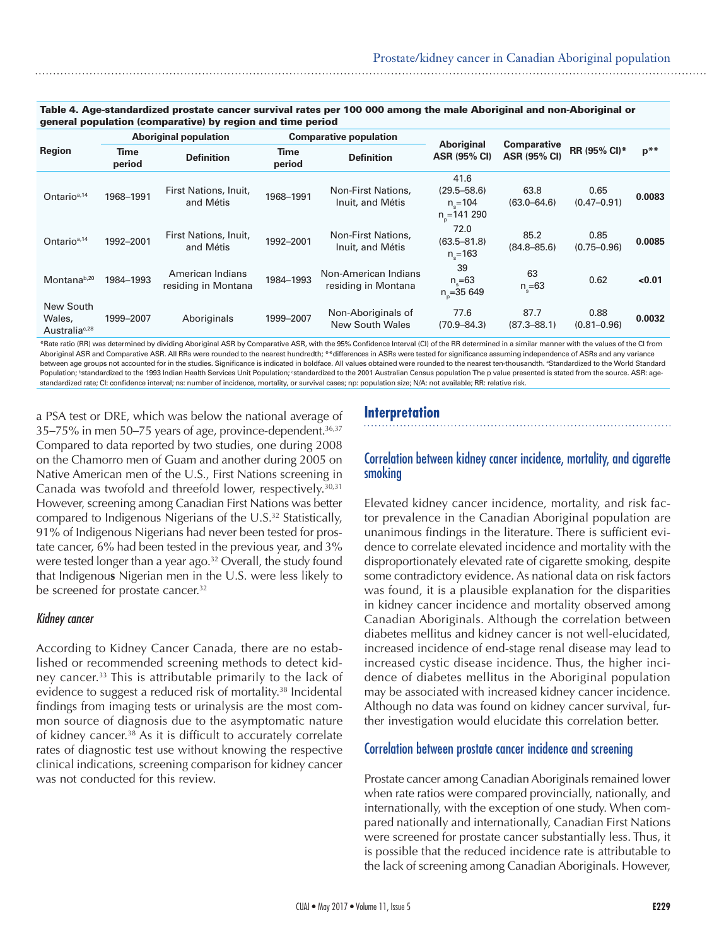| gonoral population (oomparatro) sy rogion ana timo porioa |                              |                                         |                               |                                              |                                                                      |                                           |                         |        |  |  |  |
|-----------------------------------------------------------|------------------------------|-----------------------------------------|-------------------------------|----------------------------------------------|----------------------------------------------------------------------|-------------------------------------------|-------------------------|--------|--|--|--|
| <b>Region</b>                                             | <b>Aboriginal population</b> |                                         | <b>Comparative population</b> |                                              | <b>Aboriginal</b>                                                    |                                           |                         |        |  |  |  |
|                                                           | Time<br>period               | <b>Definition</b>                       | <b>Time</b><br>period         | <b>Definition</b>                            | <b>ASR (95% CI)</b>                                                  | <b>Comparative</b><br><b>ASR (95% CI)</b> | RR (95% CI)*            | $p***$ |  |  |  |
| Ontario <sup>a,14</sup>                                   | 1968-1991                    | First Nations, Inuit,<br>and Métis      | 1968-1991                     | Non-First Nations,<br>Inuit, and Métis       | 41.6<br>$(29.5 - 58.6)$<br>$n_{\rm s} = 104$<br>$n_{\rm p}$ =141 290 | 63.8<br>$(63.0 - 64.6)$                   | 0.65<br>$(0.47 - 0.91)$ | 0.0083 |  |  |  |
| Ontario <sup>a,14</sup>                                   | 1992-2001                    | First Nations, Inuit,<br>and Métis      | 1992-2001                     | Non-First Nations,<br>Inuit, and Métis       | 72.0<br>$(63.5 - 81.8)$<br>$n_{\text{s}} = 163$                      | 85.2<br>$(84.8 - 85.6)$                   | 0.85<br>$(0.75 - 0.96)$ | 0.0085 |  |  |  |
| Montanab,20                                               | 1984-1993                    | American Indians<br>residing in Montana | 1984-1993                     | Non-American Indians<br>residing in Montana  | 39<br>$n_s = 63$<br>$n_{\rm p} = 35649$                              | 63<br>$n_{\rm s} = 63$                    | 0.62                    | < 0.01 |  |  |  |
| New South<br>Wales,<br>Australia <sup>c,28</sup>          | 1999-2007                    | Aboriginals                             | 1999-2007                     | Non-Aboriginals of<br><b>New South Wales</b> | 77.6<br>$(70.9 - 84.3)$                                              | 87.7<br>$(87.3 - 88.1)$                   | 0.88<br>$(0.81 - 0.96)$ | 0.0032 |  |  |  |

#### Table 4. Age-standardized prostate cancer survival rates per 100 000 among the male Aboriginal and non-Aboriginal or general population (comparative) by region and time period

\*Rate ratio (RR) was determined by dividing Aboriginal ASR by Comparative ASR, with the 95% Confidence Interval (CI) of the RR determined in a similar manner with the values of the CI from Aboriginal ASR and Comparative ASR. All RRs were rounded to the nearest hundredth; \*\*differences in ASRs were tested for significance assuming independence of ASRs and any variance between age groups not accounted for in the studies. Significance is indicated in boldface. All values obtained were rounded to the nearest ten-thousandth. a Standardized to the World Standard Population; <sup>ь</sup>standardized to the 1993 Indian Health Services Unit Population; <sup>e</sup>standardized to the 2001 Australian Census population The p value presented is stated from the source. ASR: agestandardized rate; CI: confidence interval; ns: number of incidence, mortality, or survival cases; np: population size; N/A: not available; RR: relative risk.

a PSA test or DRE, which was below the national average of 35*‒*75% in men 50*‒*75 years of age, province-dependent.36,37 Compared to data reported by two studies, one during 2008 on the Chamorro men of Guam and another during 2005 on Native American men of the U.S., First Nations screening in Canada was twofold and threefold lower, respectively.30,31 However, screening among Canadian First Nations was better compared to Indigenous Nigerians of the  $U.S.<sup>32</sup>$  Statistically, 91% of Indigenous Nigerians had never been tested for prostate cancer, 6% had been tested in the previous year, and 3% were tested longer than a year ago.<sup>32</sup> Overall, the study found that Indigenou**s** Nigerian men in the U.S. were less likely to be screened for prostate cancer.<sup>32</sup>

#### *Kidney cancer*

According to Kidney Cancer Canada, there are no established or recommended screening methods to detect kidney cancer.33 This is attributable primarily to the lack of evidence to suggest a reduced risk of mortality.<sup>38</sup> Incidental findings from imaging tests or urinalysis are the most common source of diagnosis due to the asymptomatic nature of kidney cancer.<sup>38</sup> As it is difficult to accurately correlate rates of diagnostic test use without knowing the respective clinical indications, screening comparison for kidney cancer was not conducted for this review.

## **Interpretation**

## Correlation between kidney cancer incidence, mortality, and cigarette smoking

Elevated kidney cancer incidence, mortality, and risk factor prevalence in the Canadian Aboriginal population are unanimous findings in the literature. There is sufficient evidence to correlate elevated incidence and mortality with the disproportionately elevated rate of cigarette smoking, despite some contradictory evidence. As national data on risk factors was found, it is a plausible explanation for the disparities in kidney cancer incidence and mortality observed among Canadian Aboriginals. Although the correlation between diabetes mellitus and kidney cancer is not well-elucidated, increased incidence of end-stage renal disease may lead to increased cystic disease incidence. Thus, the higher incidence of diabetes mellitus in the Aboriginal population may be associated with increased kidney cancer incidence. Although no data was found on kidney cancer survival, further investigation would elucidate this correlation better.

## Correlation between prostate cancer incidence and screening

Prostate cancer among Canadian Aboriginals remained lower when rate ratios were compared provincially, nationally, and internationally, with the exception of one study. When compared nationally and internationally, Canadian First Nations were screened for prostate cancer substantially less. Thus, it is possible that the reduced incidence rate is attributable to the lack of screening among Canadian Aboriginals. However,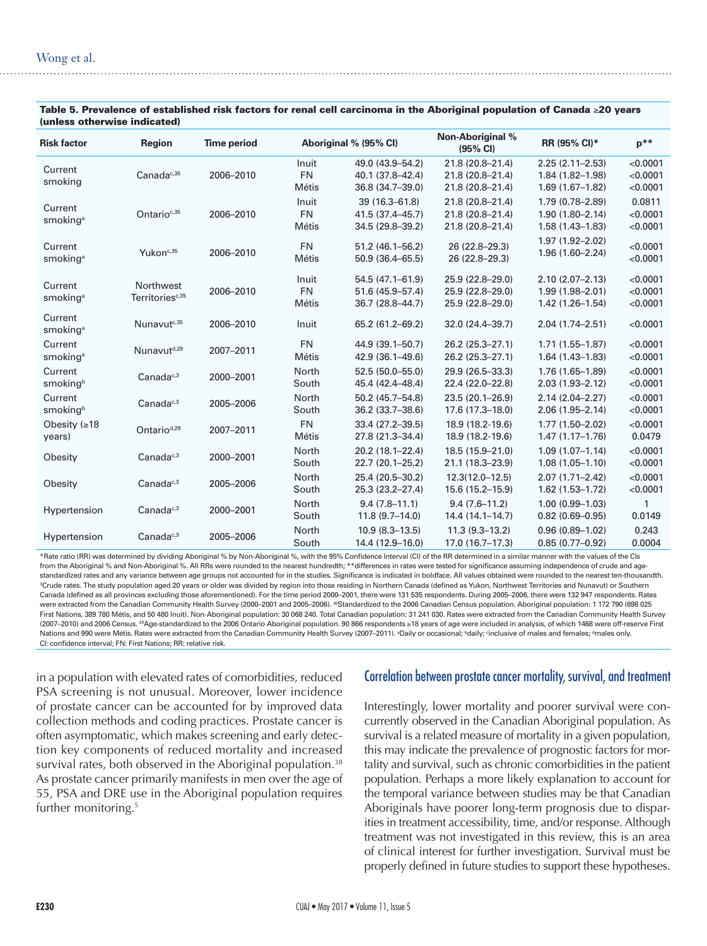| <b>Risk factor</b>              | Region                                   | <b>Time period</b> |              | Aboriginal % (95% CI) | <b>Non-Aboriginal %</b><br>(95% CI) | RR (95% CI)*        | $p***$   |
|---------------------------------|------------------------------------------|--------------------|--------------|-----------------------|-------------------------------------|---------------------|----------|
| Current                         |                                          |                    | Inuit        | 49.0 (43.9-54.2)      | 21.8 (20.8-21.4)                    | $2.25(2.11 - 2.53)$ | < 0.0001 |
| smoking                         | $Canada^{c,35})$                         | 2006-2010          | <b>FN</b>    | 40.1 (37.8-42.4)      | 21.8 (20.8-21.4)                    | $1.84(1.82 - 1.98)$ | < 0.0001 |
|                                 |                                          |                    | <b>Métis</b> | 36.8 (34.7-39.0)      | 21.8 (20.8-21.4)                    | $1.69(1.67-1.82)$   | < 0.0001 |
|                                 |                                          |                    | Inuit        | 39 (16.3-61.8)        | 21.8 (20.8-21.4)                    | 1.79 (0.78-2.89)    | 0.0811   |
| Current                         | Ontario <sup>c,35</sup>                  | 2006-2010          | <b>FN</b>    | 41.5 (37.4-45.7)      | 21.8 (20.8-21.4)                    | $1.90(1.80 - 2.14)$ | < 0.0001 |
| smoking <sup>a</sup>            |                                          |                    | <b>Métis</b> | 34.5 (29.8-39.2)      | 21.8 (20.8-21.4)                    | $1.58(1.43 - 1.83)$ | < 0.0001 |
| Current                         |                                          |                    | <b>FN</b>    | 51.2 (46.1-56.2)      | 26 (22.8-29.3)                      | $1.97(1.92 - 2.02)$ | < 0.0001 |
| smoking <sup>a</sup>            | Yukon <sup>c,35</sup>                    | 2006-2010          | <b>Métis</b> | $50.9(36.4 - 65.5)$   | 26 (22.8-29.3)                      | $1.96(1.60 - 2.24)$ | < 0.0001 |
|                                 |                                          |                    |              |                       |                                     |                     |          |
|                                 |                                          |                    | Inuit        | 54.5 (47.1-61.9)      | 25.9 (22.8-29.0)                    | $2.10(2.07 - 2.13)$ | < 0.0001 |
| Current<br>smoking <sup>a</sup> | Northwest<br>Territories <sup>c,35</sup> | 2006-2010          | <b>FN</b>    | 51.6 (45.9-57.4)      | 25.9 (22.8-29.0)                    | $1.99(1.98 - 2.01)$ | < 0.0001 |
|                                 |                                          |                    | <b>Métis</b> | 36.7 (28.8-44.7)      | 25.9 (22.8-29.0)                    | $1.42(1.26 - 1.54)$ | < 0.0001 |
| Current<br>smoking <sup>a</sup> | Nunavutc,35                              | 2006-2010          | Inuit        | 65.2 (61.2-69.2)      | 32.0 (24.4-39.7)                    | $2.04(1.74 - 2.51)$ | < 0.0001 |
| Current                         |                                          |                    | <b>FN</b>    | 44.9 (39.1-50.7)      | 26.2 (25.3-27.1)                    | $1.71(1.55 - 1.87)$ | < 0.0001 |
| smoking <sup>a</sup>            | Nunavut <sup>d,29</sup>                  | 2007-2011          | <b>Métis</b> | 42.9 (36.1-49.6)      | 26.2 (25.3-27.1)                    | $1.64(1.43 - 1.83)$ | < 0.0001 |
| Current                         |                                          |                    | North        | 52.5 (50.0-55.0)      | 29.9 (26.5-33.3)                    | $1.76(1.65 - 1.89)$ | < 0.0001 |
| smokingb                        | Canada <sub>c,3</sub>                    | 2000-2001          | South        | 45.4 (42.4-48.4)      | 22.4 (22.0-22.8)                    | $2.03(1.93 - 2.12)$ | < 0.0001 |
| Current                         |                                          |                    | North        | 50.2 (45.7-54.8)      | 23.5 (20.1-26.9)                    | $2.14(2.04 - 2.27)$ | < 0.0001 |
| smokingb                        | Canada <sub>c,3</sub>                    | 2005-2006          | South        | 36.2 (33.7-38.6)      | 17.6 (17.3-18.0)                    | $2.06(1.95 - 2.14)$ | < 0.0001 |
| Obesity $\leq 18$               |                                          |                    | <b>FN</b>    | 33.4 (27.2-39.5)      | 18.9 (18.2-19.6)                    | $1.77(1.50 - 2.02)$ | < 0.0001 |
| years)                          | Ontario <sup>d,29</sup>                  | 2007-2011          | <b>Métis</b> | 27.8 (21.3-34.4)      | 18.9 (18.2-19.6)                    | $1.47(1.17-1.76)$   | 0.0479   |
|                                 |                                          |                    | North        | 20.2 (18.1-22.4)      | 18.5 (15.9-21.0)                    | $1.09(1.07 - 1.14)$ | < 0.0001 |
| Obesity                         | Canada <sub>c,3</sub>                    | 2000-2001          | South        | 22.7 (20.1-25.2)      | 21.1 (18.3-23.9)                    | $1.08(1.05 - 1.10)$ | < 0.0001 |
|                                 |                                          |                    | North        | 25.4 (20.5-30.2)      | $12.3(12.0 - 12.5)$                 | $2.07(1.71 - 2.42)$ | < 0.0001 |
| Obesity                         | Canada <sub>c,3</sub>                    | 2005-2006          | South        | 25.3 (23.2-27.4)      | $15.6(15.2 - 15.9)$                 | $1.62$ (1.53-1.72)  | < 0.0001 |
|                                 |                                          |                    | North        | $9.4(7.8 - 11.1)$     | $9.4(7.6 - 11.2)$                   | $1.00(0.99 - 1.03)$ | 1        |
| Hypertension                    | Canada <sub>c,3</sub>                    | 2000-2001          | South        | $11.8(9.7-14.0)$      | 14.4 (14.1–14.7)                    | $0.82$ (0.69-0.95)  | 0.0149   |
|                                 |                                          |                    | North        | $10.9(8.3 - 13.5)$    | $11.3(9.3 - 13.2)$                  | $0.96(0.89 - 1.02)$ | 0.243    |
| Hypertension                    | Canada <sub>c,3</sub>                    | 2005-2006          | South        | 14.4 (12.9-16.0)      | 17.0 (16.7-17.3)                    | $0.85(0.77-0.92)$   | 0.0004   |
|                                 |                                          |                    |              |                       |                                     |                     |          |

#### Table 5. Prevalence of established risk factors for renal cell carcinoma in the Aboriginal population of Canada ≥20 years (unless otherwise indicated)

\*Rate ratio (RR) was determined by dividing Aboriginal % by Non-Aboriginal %, with the 95% Confidence Interval (CI) of the RR determined in a similar manner with the values of the CIs from the Aboriginal % and Non-Aboriginal %. All RRs were rounded to the nearest hundredth; \*\*differences in rates were tested for significance assuming independence of crude and age standardized rates and any variance between age groups not accounted for in the studies. Significance is indicated in boldface. All values obtained were rounded to the nearest ten-thousandth. 3 Crude rates. The study population aged 20 years or older was divided by region into those residing in Northern Canada (defined as Yukon, Northwest Territories and Nunavut) or Southern Canada (defined as all provinces excluding those aforementioned). For the time period 2000–2001, there were 131 535 respondents. During 2005–2006, there were 132 947 respondents. Rates were extracted from the Canadian Community Health Survey (2000-2001 and 2005-2006). <sup>36</sup>Standardized to the 2006 Canadian Census population. Aboriginal population: 1 172 790 (698 025 First Nations, 389 780 Métis, and 50 480 Inuit). Non-Aboriginal population: 30 068 240. Total Canadian population: 31 241 030. Rates were extracted from the Canadian Community Health Survey (2007–2010) and 2006 Census. 29Age-standardized to the 2006 Ontario Aboriginal population. 90 866 respondents ≥18 years of age were included in analysis, of which 1468 were off-reserve First Nations and 990 were Métis. Rates were extracted from the Canadian Community Health Survey (2007–2011). ªDaily or occasional; ªdaily; ªinclusive of males and females; ªmales only. CI: confidence interval; FN: First Nations; RR: relative risk.

in a population with elevated rates of comorbidities, reduced PSA screening is not unusual. Moreover, lower incidence of prostate cancer can be accounted for by improved data collection methods and coding practices. Prostate cancer is often asymptomatic, which makes screening and early detection key components of reduced mortality and increased survival rates, both observed in the Aboriginal population.<sup>38</sup> As prostate cancer primarily manifests in men over the age of 55, PSA and DRE use in the Aboriginal population requires further monitoring.<sup>5</sup>

#### Correlation between prostate cancer mortality, survival, and treatment

Interestingly, lower mortality and poorer survival were concurrently observed in the Canadian Aboriginal population. As survival is a related measure of mortality in a given population, this may indicate the prevalence of prognostic factors for mortality and survival, such as chronic comorbidities in the patient population. Perhaps a more likely explanation to account for the temporal variance between studies may be that Canadian Aboriginals have poorer long-term prognosis due to disparities in treatment accessibility, time, and/or response. Although treatment was not investigated in this review, this is an area of clinical interest for further investigation. Survival must be properly defined in future studies to support these hypotheses.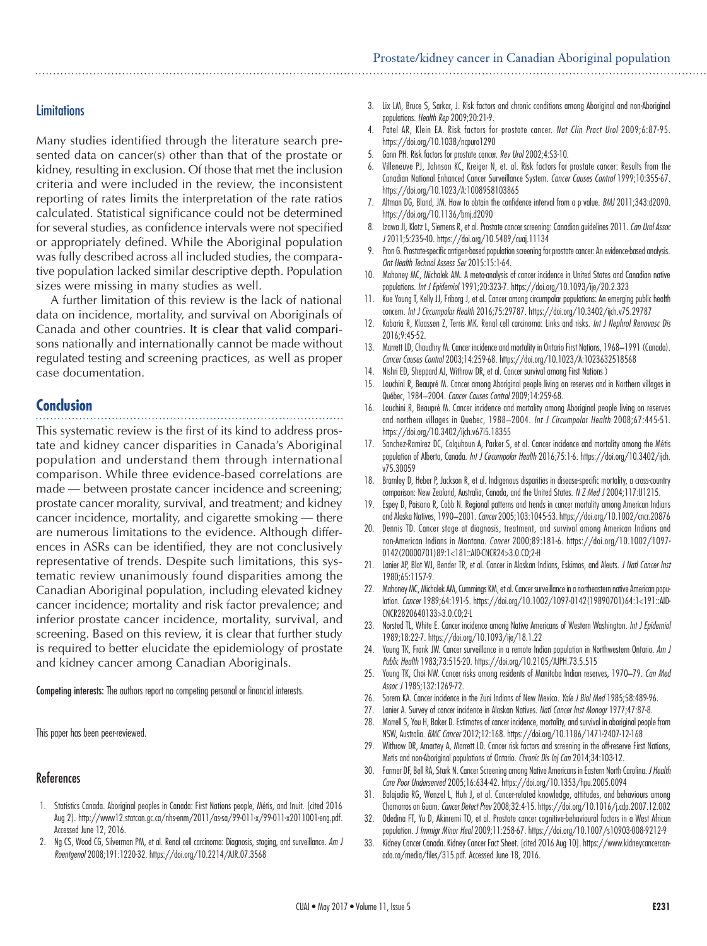#### **Limitations**

Many studies identified through the literature search presented data on cancer(s) other than that of the prostate or kidney, resulting in exclusion. Of those that met the inclusion criteria and were included in the review, the inconsistent reporting of rates limits the interpretation of the rate ratios calculated. Statistical significance could not be determined for several studies, as confidence intervals were not specified or appropriately defined. While the Aboriginal population was fully described across all included studies, the comparative population lacked similar descriptive depth. Population sizes were missing in many studies as well.

A further limitation of this review is the lack of national data on incidence, mortality, and survival on Aboriginals of Canada and other countries. It is clear that valid comparisons nationally and internationally cannot be made without regulated testing and screening practices, as well as proper case documentation.

#### **Conclusion**

This systematic review is the first of its kind to address prostate and kidney cancer disparities in Canada's Aboriginal population and understand them through international comparison. While three evidence-based correlations are made — between prostate cancer incidence and screening; prostate cancer morality, survival, and treatment; and kidney cancer incidence, mortality, and cigarette smoking — there are numerous limitations to the evidence. Although differences in ASRs can be identified, they are not conclusively representative of trends. Despite such limitations, this systematic review unanimously found disparities among the Canadian Aboriginal population, including elevated kidney cancer incidence; mortality and risk factor prevalence; and inferior prostate cancer incidence, mortality, survival, and screening. Based on this review, it is clear that further study is required to better elucidate the epidemiology of prostate and kidney cancer among Canadian Aboriginals.

Competing interests: The authors report no competing personal or financial interests.

This paper has been peer-reviewed.

#### References

- 1. Statistics Canada. Aboriginal peoples in Canada: First Nations people, Métis, and Inuit. [cited 2016 Aug 2]. http://www12.statcan.gc.ca/nhs-enm/2011/as-sa/99-011-x/99-011-x2011001-eng.pdf. Accessed June 12, 2016.
- 2. Ng CS, Wood CG, Silverman PM, et al. Renal cell carcinoma: Diagnosis, staging, and surveillance. *Am J Roentgenol* 2008;191:1220-32. https://doi.org/10.2214/AJR.07.3568
- 3. Lix LM, Bruce S, Sarkar, J. Risk factors and chronic conditions among Aboriginal and non-Aboriginal populations. *Health Rep* 2009;20:21-9.
- 4. Patel AR, Klein EA. Risk factors for prostate cancer. *Nat Clin Pract Urol* 2009;6:87-95. https://doi.org/10.1038/ncpuro1290
- 5. Gann PH. Risk factors for prostate cancer. *Rev Urol* 2002;4:S3-10.
- 6. Villeneuve PJ, Johnson KC, Kreiger N, et. al. Risk factors for prostate cancer: Results from the Canadian National Enhanced Cancer Surveillance System. *Cancer Causes Control* 1999;10:355-67. https://doi.org/10.1023/A:1008958103865
- 7. Altman DG, Bland, JM. How to obtain the confidence interval from a p value. *BMJ* 2011;343:d2090. https://doi.org/10.1136/bmj.d2090
- 8. Izawa JI, Klotz L, Siemens R, et al. Prostate cancer screening: Canadian guidelines 2011. *Can Urol Assoc J* 2011;5:235-40. https://doi.org/10.5489/cuaj.11134
- Pron G. Prostate-specific antigen-based population screening for prostate cancer: An evidence-based analysis. *Ont Health Technol Assess Ser* 2015:15:1-64.
- 10. Mahoney MC, Michalek AM. A meta-analysis of cancer incidence in United States and Canadian native populations. *Int J Epidemiol* 1991;20:323-7. https://doi.org/10.1093/ije/20.2.323
- 11. Kue Young T, Kelly JJ, Friborg J, et al. Cancer among circumpolar populations: An emerging public health concern. *Int J Circumpolar Health* 2016;75:29787. https://doi.org/10.3402/ijch.v75.29787
- 12. Kabaria R, Klaassen Z, Terris MK. Renal cell carcinoma: Links and risks. *Int J Nephrol Renovasc Dis*  2016;9:45-52.
- 13. Marrett LD, Chaudhry M. Cancer incidence and mortality in Ontario First Nations, 1968*‒*1991 (Canada). *Cancer Causes Control* 2003;14:259-68. https://doi.org/10.1023/A:1023632518568
- 14. Nishri ED, Sheppard AJ, Withrow DR, et al. Cancer survival among First Nations )
- 15. Louchini R, Beaupré M. Cancer among Aboriginal people living on reserves and in Northern villages in Québec, 1984*‒*2004. *Cancer Causes Control* 2009;14:259-68.
- 16. Louchini R, Beaupré M. Cancer incidence and mortality among Aboriginal people living on reserves and northern villages in Quebec, 1988*‒*2004. *Int J Circumpolar Health* 2008;67:445-51. https://doi.org/10.3402/ijch.v67i5.18355
- 17. Sanchez-Ramirez DC, Colquhoun A, Parker S, et al. Cancer incidence and mortality among the Métis population of Alberta, Canada. *Int J Circumpolar Health* 2016;75:1-6. https://doi.org/10.3402/ijch. v75.30059
- 18. Bramley D, Heber P, Jackson R, et al. Indigenous disparities in disease-specific mortality, a cross-country comparison: New Zealand, Australia, Canada, and the United States. *N Z Med J* 2004;117:U1215.
- 19. Espey D, Paisano R, Cobb N. Regional patterns and trends in cancer mortality among American Indians and Alaska Natives, 1990*‒*2001. *Cancer* 2005;103:1045-53. https://doi.org/10.1002/cncr.20876
- 20. Dennis TD. Cancer stage at diagnosis, treatment, and survival among American Indians and non-American Indians in Montana. *Cancer* 2000;89:181-6. https://doi.org/10.1002/1097- 0142(20000701)89:1<181::AID-CNCR24>3.0.CO;2-H
- 21. Lanier AP, Blot WJ, Bender TR, et al. Cancer in Alaskan Indians, Eskimos, and Aleuts. *J Natl Cancer Inst* 1980;65:1157-9.
- 22. Mahoney MC, Michalek AM, Cummings KM, et al. Cancer surveillance in a northeastern native American population. *Cancer* 1989;64:191-5. https://doi.org/10.1002/1097-0142(19890701)64:1<191::AID-CNCR2820640133>3.0.CO;2-L
- 23. Norsted TL, White E. Cancer incidence among Native Americans of Western Washington. *Int J Epidemiol*  1989;18:22-7. https://doi.org/10.1093/ije/18.1.22
- 24. Young TK, Frank JW. Cancer surveillance in a remote Indian population in Northwestern Ontario. *Am J Public Health* 1983;73:515-20. https://doi.org/10.2105/AJPH.73.5.515
- 25. Young TK, Choi NW. Cancer risks among residents of Manitoba Indian reserves, 1970*‒*79. *Can Med Assoc J* 1985;132:1269-72.
- 26. Sorem KA. Cancer incidence in the Zuni Indians of New Mexico. *Yale J Biol Med* 1985;58:489-96.
- 27. Lanier A. Survey of cancer incidence in Alaskan Natives. *Natl Cancer Inst Monogr* 1977;47:87-8.
- 28. Morrell S, You H, Baker D. Estimates of cancer incidence, mortality, and survival in aboriginal people from NSW, Australia. *BMC Cancer* 2012;12:168. https://doi.org/10.1186/1471-2407-12-168
- 29. Withrow DR, Amartey A, Marrett LD. Cancer risk factors and screening in the off-reserve First Nations, Metis and non-Aboriginal populations of Ontario. *Chronic Dis Inj Can* 2014;34:103-12.
- 30. Farmer DF, Bell RA, Stark N. Cancer Screening among Native Americans in Eastern North Carolina. *J Health Care Poor Underserved* 2005;16:634-42. https://doi.org/10.1353/hpu.2005.0094
- 31. Balajadia RG, Wenzel L, Huh J, et al. Cancer-related knowledge, attitudes, and behaviours among Chamorros on Guam. *Cancer Detect Prev* 2008;32:4-15. https://doi.org/10.1016/j.cdp.2007.12.002
- 32. Odedina FT, Yu D, Akinremi TO, et al. Prostate cancer cognitive-behavioural factors in a West African population. *J Immigr Minor Heal* 2009;11:258-67. https://doi.org/10.1007/s10903-008-9212-9
- 33. Kidney Cancer Canada. Kidney Cancer Fact Sheet. [cited 2016 Aug 10]. https://www.kidneycancercanada.ca/media/files/315.pdf. Accessed June 18, 2016.